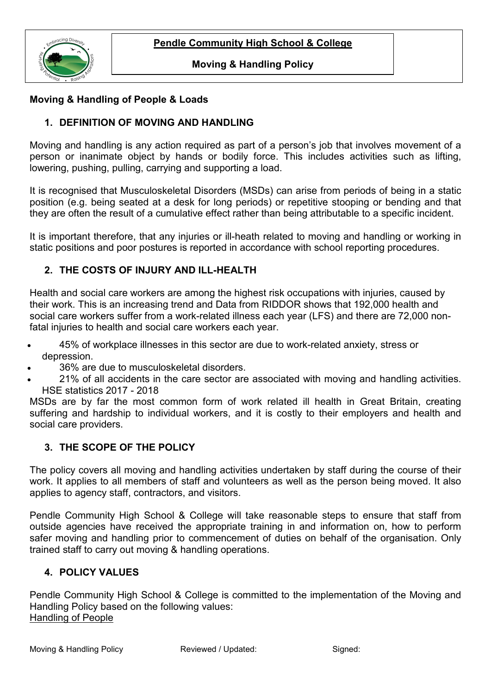

#### **Moving & Handling Policy**

### **Moving & Handling of People & Loads**

### **1. DEFINITION OF MOVING AND HANDLING**

Moving and handling is any action required as part of a person's job that involves movement of a person or inanimate object by hands or bodily force. This includes activities such as lifting, lowering, pushing, pulling, carrying and supporting a load.

It is recognised that Musculoskeletal Disorders (MSDs) can arise from periods of being in a static position (e.g. being seated at a desk for long periods) or repetitive stooping or bending and that they are often the result of a cumulative effect rather than being attributable to a specific incident.

It is important therefore, that any injuries or ill-heath related to moving and handling or working in static positions and poor postures is reported in accordance with school reporting procedures.

### **2. THE COSTS OF INJURY AND ILL-HEALTH**

Health and social care workers are among the highest risk occupations with injuries, caused by their work. This is an increasing trend and Data from RIDDOR shows that 192,000 health and social care workers suffer from a work-related illness each year (LFS) and there are 72,000 nonfatal injuries to health and social care workers each year.

- 45% of workplace illnesses in this sector are due to [work-related anxiety, stress or](https://www.asdonline.co.uk/news/2012/12/psychological-injury-really-mean)  [depression.](https://www.asdonline.co.uk/news/2012/12/psychological-injury-really-mean)
- 36% are due to [musculoskeletal disorders.](https://www.asdonline.co.uk/news/2017/08/musculoskeletal-disorders)
- 21% of all accidents in the care sector are associated with moving and handling activities. HSE statistics 2017 - 2018

MSDs are by far the most common form of work related ill health in Great Britain, creating suffering and hardship to individual workers, and it is costly to their employers and health and social care providers.

### **3. THE SCOPE OF THE POLICY**

The policy covers all moving and handling activities undertaken by staff during the course of their work. It applies to all members of staff and volunteers as well as the person being moved. It also applies to agency staff, contractors, and visitors.

Pendle Community High School & College will take reasonable steps to ensure that staff from outside agencies have received the appropriate training in and information on, how to perform safer moving and handling prior to commencement of duties on behalf of the organisation. Only trained staff to carry out moving & handling operations.

### **4. POLICY VALUES**

Pendle Community High School & College is committed to the implementation of the Moving and Handling Policy based on the following values: Handling of People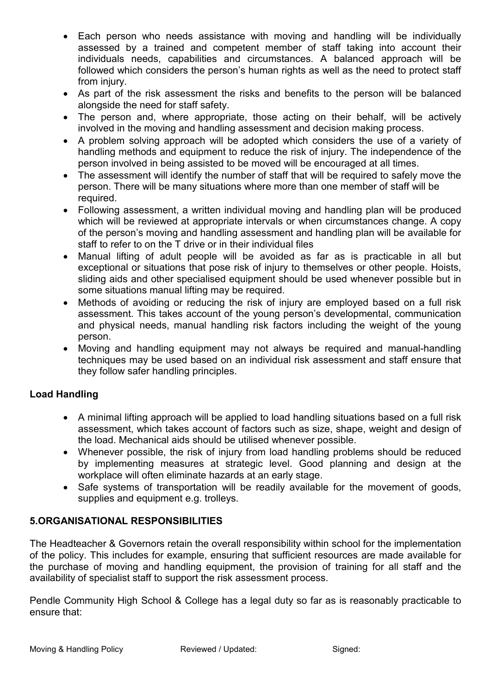- Each person who needs assistance with moving and handling will be individually assessed by a trained and competent member of staff taking into account their individuals needs, capabilities and circumstances. A balanced approach will be followed which considers the person's human rights as well as the need to protect staff from injury.
- As part of the risk assessment the risks and benefits to the person will be balanced alongside the need for staff safety.
- The person and, where appropriate, those acting on their behalf, will be actively involved in the moving and handling assessment and decision making process.
- A problem solving approach will be adopted which considers the use of a variety of handling methods and equipment to reduce the risk of injury. The independence of the person involved in being assisted to be moved will be encouraged at all times.
- The assessment will identify the number of staff that will be required to safely move the person. There will be many situations where more than one member of staff will be required.
- Following assessment, a written individual moving and handling plan will be produced which will be reviewed at appropriate intervals or when circumstances change. A copy of the person's moving and handling assessment and handling plan will be available for staff to refer to on the T drive or in their individual files
- Manual lifting of adult people will be avoided as far as is practicable in all but exceptional or situations that pose risk of injury to themselves or other people. Hoists, sliding aids and other specialised equipment should be used whenever possible but in some situations manual lifting may be required.
- Methods of avoiding or reducing the risk of injury are employed based on a full risk assessment. This takes account of the young person's developmental, communication and physical needs, manual handling risk factors including the weight of the young person.
- Moving and handling equipment may not always be required and manual-handling techniques may be used based on an individual risk assessment and staff ensure that they follow safer handling principles.

# **Load Handling**

- A minimal lifting approach will be applied to load handling situations based on a full risk assessment, which takes account of factors such as size, shape, weight and design of the load. Mechanical aids should be utilised whenever possible.
- Whenever possible, the risk of injury from load handling problems should be reduced by implementing measures at strategic level. Good planning and design at the workplace will often eliminate hazards at an early stage.
- Safe systems of transportation will be readily available for the movement of goods, supplies and equipment e.g. trolleys.

# **5.ORGANISATIONAL RESPONSIBILITIES**

The Headteacher & Governors retain the overall responsibility within school for the implementation of the policy. This includes for example, ensuring that sufficient resources are made available for the purchase of moving and handling equipment, the provision of training for all staff and the availability of specialist staff to support the risk assessment process.

Pendle Community High School & College has a legal duty so far as is reasonably practicable to ensure that: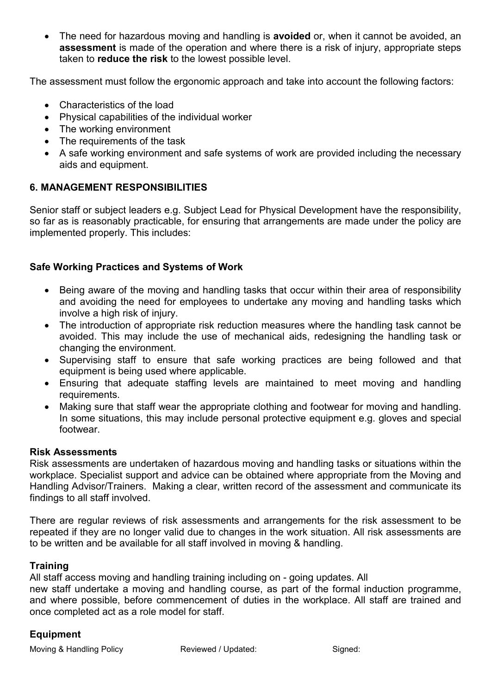• The need for hazardous moving and handling is **avoided** or, when it cannot be avoided, an **assessment** is made of the operation and where there is a risk of injury, appropriate steps taken to **reduce the risk** to the lowest possible level.

The assessment must follow the ergonomic approach and take into account the following factors:

- Characteristics of the load
- Physical capabilities of the individual worker
- The working environment
- The requirements of the task
- A safe working environment and safe systems of work are provided including the necessary aids and equipment.

# **6. MANAGEMENT RESPONSIBILITIES**

Senior staff or subject leaders e.g. Subject Lead for Physical Development have the responsibility, so far as is reasonably practicable, for ensuring that arrangements are made under the policy are implemented properly. This includes:

### **Safe Working Practices and Systems of Work**

- Being aware of the moving and handling tasks that occur within their area of responsibility and avoiding the need for employees to undertake any moving and handling tasks which involve a high risk of injury.
- The introduction of appropriate risk reduction measures where the handling task cannot be avoided. This may include the use of mechanical aids, redesigning the handling task or changing the environment.
- Supervising staff to ensure that safe working practices are being followed and that equipment is being used where applicable.
- Ensuring that adequate staffing levels are maintained to meet moving and handling requirements.
- Making sure that staff wear the appropriate clothing and footwear for moving and handling. In some situations, this may include personal protective equipment e.g. gloves and special footwear.

### **Risk Assessments**

Risk assessments are undertaken of hazardous moving and handling tasks or situations within the workplace. Specialist support and advice can be obtained where appropriate from the Moving and Handling Advisor/Trainers. Making a clear, written record of the assessment and communicate its findings to all staff involved.

There are regular reviews of risk assessments and arrangements for the risk assessment to be repeated if they are no longer valid due to changes in the work situation. All risk assessments are to be written and be available for all staff involved in moving & handling.

### **Training**

All staff access moving and handling training including on - going updates. All

new staff undertake a moving and handling course, as part of the formal induction programme, and where possible, before commencement of duties in the workplace. All staff are trained and once completed act as a role model for staff.

### **Equipment**

Moving & Handling Policy **Reviewed / Updated:** Signed: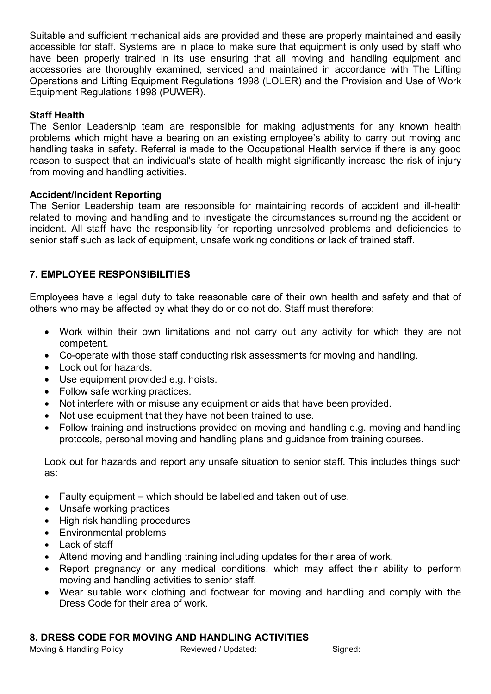Suitable and sufficient mechanical aids are provided and these are properly maintained and easily accessible for staff. Systems are in place to make sure that equipment is only used by staff who have been properly trained in its use ensuring that all moving and handling equipment and accessories are thoroughly examined, serviced and maintained in accordance with The Lifting Operations and Lifting Equipment Regulations 1998 (LOLER) and the Provision and Use of Work Equipment Regulations 1998 (PUWER).

#### **Staff Health**

The Senior Leadership team are responsible for making adjustments for any known health problems which might have a bearing on an existing employee's ability to carry out moving and handling tasks in safety. Referral is made to the Occupational Health service if there is any good reason to suspect that an individual's state of health might significantly increase the risk of injury from moving and handling activities.

#### **Accident/Incident Reporting**

The Senior Leadership team are responsible for maintaining records of accident and ill-health related to moving and handling and to investigate the circumstances surrounding the accident or incident. All staff have the responsibility for reporting unresolved problems and deficiencies to senior staff such as lack of equipment, unsafe working conditions or lack of trained staff.

### **7. EMPLOYEE RESPONSIBILITIES**

Employees have a legal duty to take reasonable care of their own health and safety and that of others who may be affected by what they do or do not do. Staff must therefore:

- Work within their own limitations and not carry out any activity for which they are not competent.
- Co-operate with those staff conducting risk assessments for moving and handling.
- Look out for hazards.
- Use equipment provided e.g. hoists.
- Follow safe working practices.
- Not interfere with or misuse any equipment or aids that have been provided.
- Not use equipment that they have not been trained to use.
- Follow training and instructions provided on moving and handling e.g. moving and handling protocols, personal moving and handling plans and guidance from training courses.

Look out for hazards and report any unsafe situation to senior staff. This includes things such as:

- Faulty equipment which should be labelled and taken out of use.
- Unsafe working practices
- High risk handling procedures
- Environmental problems
- Lack of staff
- Attend moving and handling training including updates for their area of work.
- Report pregnancy or any medical conditions, which may affect their ability to perform moving and handling activities to senior staff.
- Wear suitable work clothing and footwear for moving and handling and comply with the Dress Code for their area of work.

### **8. DRESS CODE FOR MOVING AND HANDLING ACTIVITIES**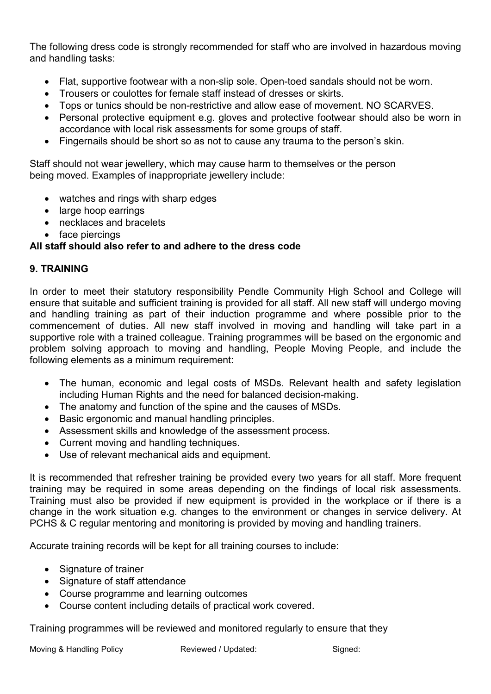The following dress code is strongly recommended for staff who are involved in hazardous moving and handling tasks:

- Flat, supportive footwear with a non-slip sole. Open-toed sandals should not be worn.
- Trousers or coulottes for female staff instead of dresses or skirts.
- Tops or tunics should be non-restrictive and allow ease of movement. NO SCARVES.
- Personal protective equipment e.g. gloves and protective footwear should also be worn in accordance with local risk assessments for some groups of staff.
- Fingernails should be short so as not to cause any trauma to the person's skin.

Staff should not wear jewellery, which may cause harm to themselves or the person being moved. Examples of inappropriate jewellery include:

- watches and rings with sharp edges
- large hoop earrings
- necklaces and bracelets
- face piercings

# **All staff should also refer to and adhere to the dress code**

# **9. TRAINING**

In order to meet their statutory responsibility Pendle Community High School and College will ensure that suitable and sufficient training is provided for all staff. All new staff will undergo moving and handling training as part of their induction programme and where possible prior to the commencement of duties. All new staff involved in moving and handling will take part in a supportive role with a trained colleague. Training programmes will be based on the ergonomic and problem solving approach to moving and handling, People Moving People, and include the following elements as a minimum requirement:

- The human, economic and legal costs of MSDs. Relevant health and safety legislation including Human Rights and the need for balanced decision-making.
- The anatomy and function of the spine and the causes of MSDs.
- Basic ergonomic and manual handling principles.
- Assessment skills and knowledge of the assessment process.
- Current moving and handling techniques.
- Use of relevant mechanical aids and equipment.

It is recommended that refresher training be provided every two years for all staff. More frequent training may be required in some areas depending on the findings of local risk assessments. Training must also be provided if new equipment is provided in the workplace or if there is a change in the work situation e.g. changes to the environment or changes in service delivery. At PCHS & C regular mentoring and monitoring is provided by moving and handling trainers.

Accurate training records will be kept for all training courses to include:

- Signature of trainer
- Signature of staff attendance
- Course programme and learning outcomes
- Course content including details of practical work covered.

Training programmes will be reviewed and monitored regularly to ensure that they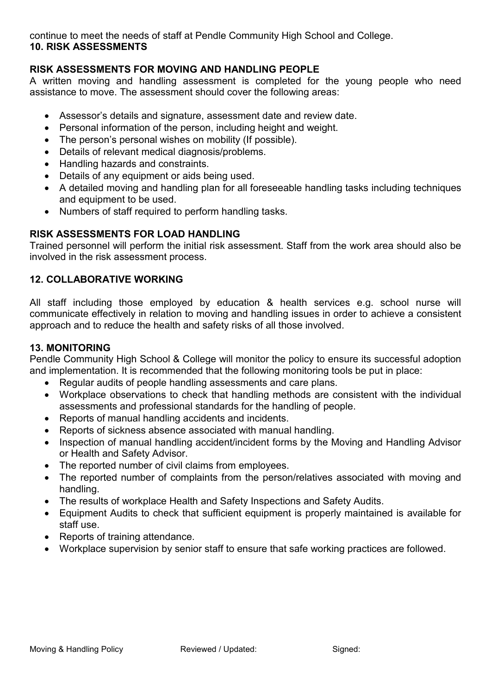continue to meet the needs of staff at Pendle Community High School and College. **10. RISK ASSESSMENTS**

# **RISK ASSESSMENTS FOR MOVING AND HANDLING PEOPLE**

A written moving and handling assessment is completed for the young people who need assistance to move. The assessment should cover the following areas:

- Assessor's details and signature, assessment date and review date.
- Personal information of the person, including height and weight.
- The person's personal wishes on mobility (If possible).
- Details of relevant medical diagnosis/problems.
- Handling hazards and constraints.
- Details of any equipment or aids being used.
- A detailed moving and handling plan for all foreseeable handling tasks including techniques and equipment to be used.
- Numbers of staff required to perform handling tasks.

# **RISK ASSESSMENTS FOR LOAD HANDLING**

Trained personnel will perform the initial risk assessment. Staff from the work area should also be involved in the risk assessment process.

# **12. COLLABORATIVE WORKING**

All staff including those employed by education & health services e.g. school nurse will communicate effectively in relation to moving and handling issues in order to achieve a consistent approach and to reduce the health and safety risks of all those involved.

#### **13. MONITORING**

Pendle Community High School & College will monitor the policy to ensure its successful adoption and implementation. It is recommended that the following monitoring tools be put in place:

- Regular audits of people handling assessments and care plans.
- Workplace observations to check that handling methods are consistent with the individual assessments and professional standards for the handling of people.
- Reports of manual handling accidents and incidents.
- Reports of sickness absence associated with manual handling.
- Inspection of manual handling accident/incident forms by the Moving and Handling Advisor or Health and Safety Advisor.
- The reported number of civil claims from employees.
- The reported number of complaints from the person/relatives associated with moving and handling.
- The results of workplace Health and Safety Inspections and Safety Audits.
- Equipment Audits to check that sufficient equipment is properly maintained is available for staff use.
- Reports of training attendance.
- Workplace supervision by senior staff to ensure that safe working practices are followed.